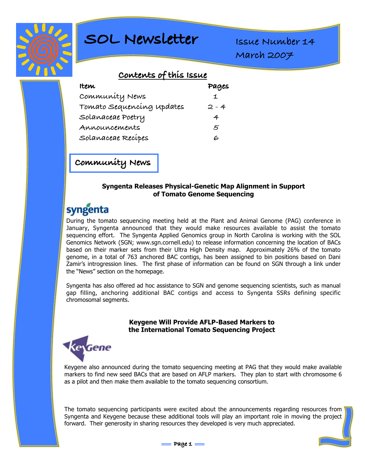

# **SOL Newsletter**

**Issue Number 14 March 2007**

## **Contents of this Issue**

| Item                      | Pages |
|---------------------------|-------|
| Community News            |       |
| Tomato Sequencing updates | 2 - 4 |
| Solanaceae Poetry         | 4     |
| Announcements             | 5     |
| Solanaceae Recípes        | 6     |

**Community News**

#### **Syngenta Releases Physical-Genetic Map Alignment in Support of Tomato Genome Sequencing**

# syngenta

During the tomato sequencing meeting held at the Plant and Animal Genome (PAG) conference in January, Syngenta announced that they would make resources available to assist the tomato sequencing effort. The Syngenta Applied Genomics group in North Carolina is working with the SOL Genomics Network (SGN; www.sgn.cornell.edu) to release information concerning the location of BACs based on their marker sets from their Ultra High Density map. Approximately 26% of the tomato genome, in a total of 763 anchored BAC contigs, has been assigned to bin positions based on Dani Zamir's introgression lines. The first phase of information can be found on SGN through a link under the "News" section on the homepage.

Syngenta has also offered ad hoc assistance to SGN and genome sequencing scientists, such as manual gap filling, anchoring additional BAC contigs and access to Syngenta SSRs defining specific chromosomal segments.

#### **Keygene Will Provide AFLP-Based Markers to the International Tomato Sequencing Project**



Keygene also announced during the tomato sequencing meeting at PAG that they would make available markers to find new seed BACs that are based on AFLP markers. They plan to start with chromosome 6 as a pilot and then make them available to the tomato sequencing consortium.

The tomato sequencing participants were excited about the announcements regarding resources from Syngenta and Keygene because these additional tools will play an important role in moving the project forward. Their generosity in sharing resources they developed is very much appreciated.

$$
= \texttt{Page 1} =
$$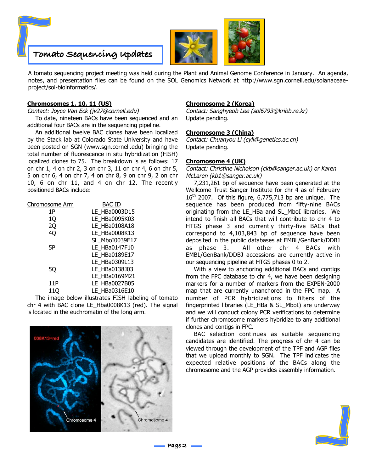



A tomato sequencing project meeting was held during the Plant and Animal Genome Conference in January. An agenda, notes, and presentation files can be found on the SOL Genomics Network at http://www.sgn.cornell.edu/solanaceaeproject/sol-bioinformatics/.

#### **Chromosomes 1, 10, 11 (US)**

Contact: Joyce Van Eck (jv27@cornell.edu)

To date, nineteen BACs have been sequenced and an additional four BACs are in the sequencing pipeline.

An additional twelve BAC clones have been localized by the Stack lab at Colorado State University and have been posted on SGN (www.sgn.cornell.edu) bringing the total number of fluorescence in situ hybridization (FISH) localized clones to 75. The breakdown is as follows: 17 on chr 1, 4 on chr 2, 3 on chr 3, 11 on chr 4, 6 on chr 5, 5 on chr 6, 4 on chr 7, 4 on chr 8, 9 on chr 9, 2 on chr 10, 6 on chr 11, and 4 on chr 12. The recently positioned BACs include:

| Chromosome Arm | BAC ID         |
|----------------|----------------|
| 1P             | LE HBa0003D15  |
| 1Q             | LE HBa0095K03  |
| 2Q             | LE HBa0108A18  |
| 40             | LE HBa0008K13  |
|                | SL MboI0039E17 |
| 5Р             | LE HBa0147F10  |
|                | LE HBa0189E17  |
|                | LE HBa0309L13  |
| 50             | LE HBa0138J03  |
|                | LE HBa0169M21  |
| 11P            | LE HBa0027B05  |
| 110            | LE HBa0316E10  |

The image below illustrates FISH labeling of tomato chr 4 with BAC clone LE\_Hba0008K13 (red). The signal is located in the euchromatin of the long arm.

# Chromosome 4 Chromosome 4

#### **Chromosome 2 (Korea)**

Contact: Sanghyeob Lee (sol6793@kribb.re.kr) Update pending.

#### **Chromosome 3 (China)**

Contact: Chuanyou Li (cyli@genetics.ac.cn) Update pending.

#### **Chromosome 4 (UK)**

Contact: Christine Nicholson (ckb@sanger.ac.uk) or Karen McLaren (kb1@sanger.ac.uk)

7,231,261 bp of sequence have been generated at the Wellcome Trust Sanger Institute for chr 4 as of February  $16<sup>th</sup>$  2007. Of this figure, 6,775,713 bp are unique. The sequence has been produced from fifty-nine BACs originating from the LE\_HBa and SL\_MboI libraries. We intend to finish all BACs that will contribute to chr 4 to HTGS phase 3 and currently thirty-five BACs that correspond to 4,103,843 bp of sequence have been deposited in the public databases at EMBL/GenBank/DDBJ as phase 3. All other chr 4 BACs with EMBL/GenBank/DDBJ accessions are currently active in our sequencing pipeline at HTGS phases 0 to 2.

With a view to anchoring additional BACs and contigs from the FPC database to chr 4, we have been designing markers for a number of markers from the EXPEN-2000 map that are currently unanchored in the FPC map. A number of PCR hybridizations to filters of the fingerprinted libraries (LE\_HBa & SL\_MboI) are underway and we will conduct colony PCR verifications to determine if further chromosome markers hybridize to any additional clones and contigs in FPC.

BAC selection continues as suitable sequencing candidates are identified. The progress of chr 4 can be viewed through the development of the TPF and AGP files that we upload monthly to SGN. The TPF indicates the expected relative positions of the BACs along the chromosome and the AGP provides assembly information.



**Page 2**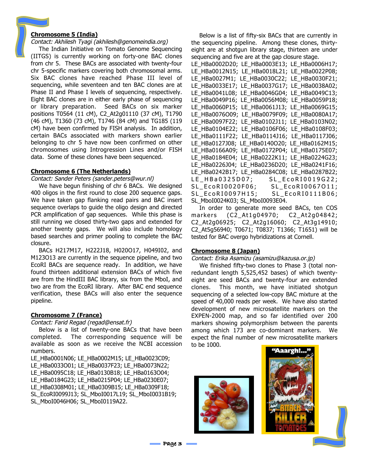#### **Chromosome 5 (India)**

#### Contact: Akhilesh Tyagi (akhilesh@genomeindia.org)

The Indian Initiative on Tomato Genome Sequencing (IITGS) is currently working on forty-one BAC clones from chr 5. These BACs are associated with twenty-four chr 5-specific markers covering both chromosomal arms. Six BAC clones have reached Phase III level of sequencing, while seventeen and ten BAC clones are at Phase II and Phase I levels of sequencing, respectively. Eight BAC clones are in either early phase of sequencing or library preparation. Seed BACs on six marker positions T0564 (11 cM), C2\_At2g01110 (37 cM), T1790 (46 cM), T1360 (73 cM), T1746 (84 cM) and TG185 (119 cM) have been confirmed by FISH analysis. In addition, certain BACs associated with markers shown earlier belonging to chr 5 have now been confirmed on other chromosomes using Introgression Lines and/or FISH data. Some of these clones have been sequenced.

#### **Chromosome 6 (The Netherlands)**

Contact: Sander Peters (sander.peters@wur.nl)

We have begun finishing of chr 6 BACs. We designed 400 oligos in the first round to close 200 sequence gaps. We have taken gap flanking read pairs and BAC insert sequence overlaps to guide the oligo design and directed PCR amplification of gap sequences. While this phase is still running we closed thirty-two gaps and extended for another twenty gaps. We will also include homology based searches and primer pooling to complete the BAC closure.

BACs H217M17, H222J18, H020O17, H049I02, and M123O13 are currently in the sequence pipeline, and two EcoRI BACs are sequence ready. In addition, we have found thirteen additional extension BACs of which five are from the HindIII BAC library, six from the MboI, and two are from the EcoRI library. After BAC end sequence verification, these BACs will also enter the sequence pipeline.

#### **Chromosome 7 (France)**

Contact: Farid Regad (regad@ensat.fr)

Below is a list of twenty-one BACs that have been completed. The corresponding sequence will be available as soon as we receive the NCBI accession numbers.

LE\_HBa0001N06; LE\_HBa0002M15; LE\_HBa0023C09; LE\_HBa0033O01; LE\_HBa0037F23; LE\_HBa0073N22; LE\_HBa0095C18; LE\_HBa0130B18; LE\_HBa0163O04; LE\_HBa0184G23; LE\_HBa0215P04; LE\_HBa0230E07; LE\_HBa0308M01; LE\_HBa0309B15; LE\_HBa0309F18; SL\_EcoRI0099J13; SL\_MboI0017L19; SL\_MboI0031B19; SL\_MboI0046H06; SL\_MboI0119A22.

Below is a list of fifty-six BACs that are currently in the sequencing pipeline. Among these clones, thirtyeight are at shotgun library stage, thirteen are under sequencing and five are at the gap closure stage.

```
LE_HBa0002D20; LE_HBa0003E13; LE_HBa0006H17;
LE_HBa0012N15; LE_HBa0018L21; LE_HBa0022P08;
LE_HBa0027M1; LE_HBa0030C22; LE_HBa0030F21;
LE_HBa0033E17; LE_HBa0037G17; LE_HBa0038A02;
LE_HBa0041L08; LE_HBa0046G04; LE_HBa0049C13;
LE_HBa0049P16; LE_HBa0056M08; LE_HBa0059P18;
LE_HBa0060P15; LE_HBa0061J13; LE_HBa0069G15;
LE_HBa0076O09; LE_HBa0079F09; LE_HBa0080A17;
LE_HBa0097F22; LE_HBa0102J11; LE_HBa0103N02;
LE_HBa0104E22; LE_HBa0106F06; LE_HBa0108F03;
LE_HBa0111F22; LE_HBa0114J16; LE_HBa0117J06;
LE_HBa0127J08; LE_HBa0140O20; LE_HBa0162M15;
LE_HBa0166A09; LE_HBa0172P04; LE_HBa0175E07;
LE_HBa0184E04; LE_HBa0222K11; LE_HBa0224G23;
LE_HBa0226J04; LE_HBa0236D20; LE_HBa0241F16;
LE_HBa0242B17; LE_HBa0284C08; LE_HBa0287B22;
LE_HBa0325D07; SL_EcoRI0019G22;
SL_EcoRI0020F06; SL_EcoRI0067O11;
SL_EcoRI0097H15; SL_EcoRI0111B06;
SL_MboI0024K03; SL_MboI0093E04.
```
In order to generate more seed BACs, ten COS markers (C2\_At1g04970; C2\_At2g04842; C2\_At2g06925; C2\_At2g16060; C2\_At3g14910; C2\_At5g56940; T0671; T0837; T1366; T1651) will be tested for BAC overgo hybridizations at Cornell.

#### **Chromosome 8 (Japan)**

Contact: Erika Asamizu (asamizu@kazusa.or.jp)

We finished fifty-two clones to Phase 3 (total nonredundant length 5,525,452 bases) of which twentyeight are seed BACs and twenty-four are extended clones. This month, we have initiated shotgun sequencing of a selected low-copy BAC mixture at the speed of 40,000 reads per week. We have also started development of new microsatellite markers on the EXPEN-2000 map, and so far identified over 200 markers showing polymorphism between the parents among which 173 are co-dominant markers. We expect the final number of new microsatellite markers to be 1000.



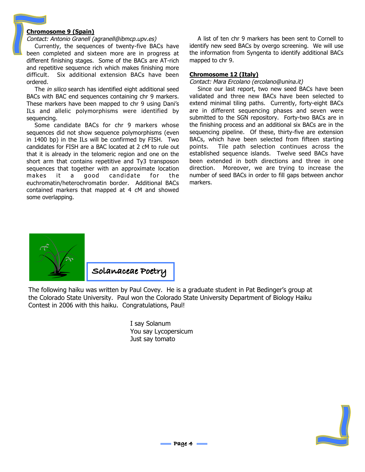#### **Chromosome 9 (Spain)**

#### Contact: Antonio Granell (agranell@ibmcp.upv.es)

Currently, the sequences of twenty-five BACs have been completed and sixteen more are in progress at different finishing stages. Some of the BACs are AT-rich and repetitive sequence rich which makes finishing more difficult. Six additional extension BACs have been ordered.

The *in silico* search has identified eight additional seed BACs with BAC end sequences containing chr 9 markers. These markers have been mapped to chr 9 using Dani's ILs and allelic polymorphisms were identified by sequencing.

Some candidate BACs for chr 9 markers whose sequences did not show sequence polymorphisms (even in 1400 bp) in the ILs will be confirmed by FISH. Two candidates for FISH are a BAC located at 2 cM to rule out that it is already in the telomeric region and one on the short arm that contains repetitive and Ty3 transposon sequences that together with an approximate location makes it a good candidate for the euchromatin/heterochromatin border. Additional BACs contained markers that mapped at 4 cM and showed some overlapping.

A list of ten chr 9 markers has been sent to Cornell to identify new seed BACs by overgo screening. We will use the information from Syngenta to identify additional BACs mapped to chr 9.

#### **Chromosome 12 (Italy)**

Contact: Mara Ercolano (ercolano@unina.it)

Since our last report, two new seed BACs have been validated and three new BACs have been selected to extend minimal tiling paths. Currently, forty-eight BACs are in different sequencing phases and seven were submitted to the SGN repository. Forty-two BACs are in the finishing process and an additional six BACs are in the sequencing pipeline. Of these, thirty-five are extension BACs, which have been selected from fifteen starting points. Tile path selection continues across the established sequence islands. Twelve seed BACs have been extended in both directions and three in one direction. Moreover, we are trying to increase the number of seed BACs in order to fill gaps between anchor markers.



The following haiku was written by Paul Covey. He is a graduate student in Pat Bedinger's group at the Colorado State University. Paul won the Colorado State University Department of Biology Haiku Contest in 2006 with this haiku. Congratulations, Paul!

> I say Solanum You say Lycopersicum Just say tomato

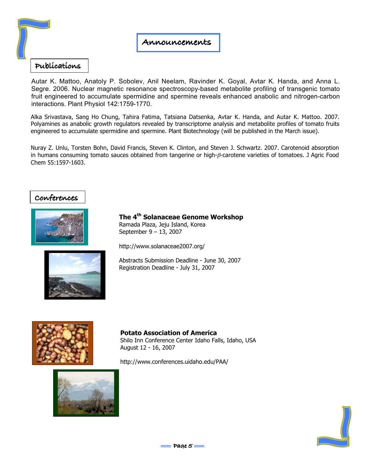

#### **Publications**

Autar K. Mattoo, Anatoly P. Sobolev, Anil Neelam, Ravinder K. Goyal, Avtar K. Handa, and Anna L. Segre. 2006. Nuclear magnetic resonance spectroscopy-based metabolite profiling of transgenic tomato fruit engineered to accumulate spermidine and spermine reveals enhanced anabolic and nitrogen-carbon interactions. Plant Physiol 142:1759-1770.

Alka Srivastava, Sang Ho Chung, Tahira Fatima, Tatsiana Datsenka, Avtar K. Handa, and Autar K. Mattoo. 2007. Polyamines as anabolic growth regulators revealed by transcriptome analysis and metabolite profiles of tomato fruits engineered to accumulate spermidine and spermine. Plant Biotechnology (will be published in the March issue).

Nuray Z. Unlu, Torsten Bohn, David Francis, Steven K. Clinton, and Steven J. Schwartz. 2007. Carotenoid absorption in humans consuming tomato sauces obtained from tangerine or high-β-carotene varieties of tomatoes. J Agric Food Chem 55:1597-1603.

### **Conferences**



**The 4th Solanaceae Genome Workshop** Ramada Plaza, Jeju Island, Korea September 9 – 13, 2007

http://www.solanaceae2007.org/



Abstracts Submission Deadline - June 30, 2007 Registration Deadline - July 31, 2007



**Potato Association of America** Shilo Inn Conference Center Idaho Falls, Idaho, USA August 12 - 16, 2007

http://www.conferences.uidaho.edu/PAA/